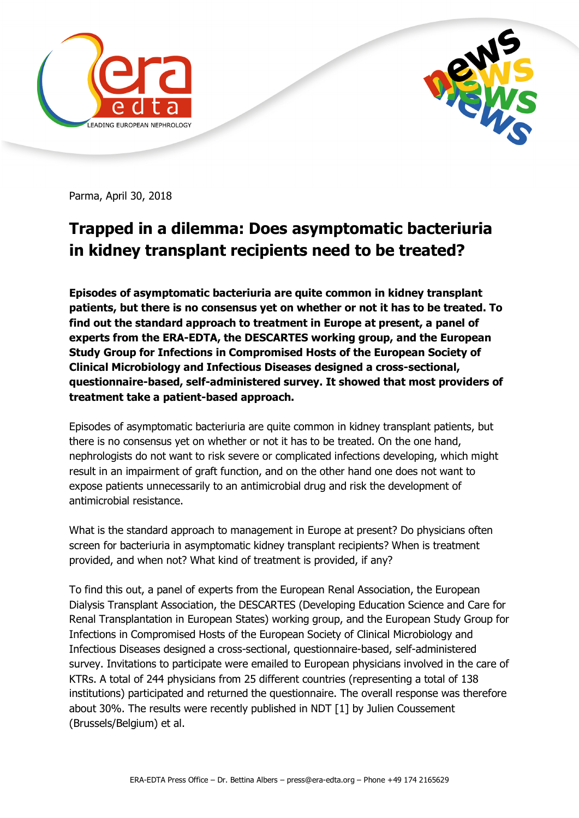



Parma, April 30, 2018

## **Trapped in a dilemma: Does asymptomatic bacteriuria in kidney transplant recipients need to be treated?**

**Episodes of asymptomatic bacteriuria are quite common in kidney transplant patients, but there is no consensus yet on whether or not it has to be treated. To find out the standard approach to treatment in Europe at present, a panel of experts from the ERA-EDTA, the DESCARTES working group, and the European Study Group for Infections in Compromised Hosts of the European Society of Clinical Microbiology and Infectious Diseases designed a cross-sectional, questionnaire-based, self-administered survey. It showed that most providers of treatment take a patient-based approach.**

Episodes of asymptomatic bacteriuria are quite common in kidney transplant patients, but there is no consensus yet on whether or not it has to be treated. On the one hand, nephrologists do not want to risk severe or complicated infections developing, which might result in an impairment of graft function, and on the other hand one does not want to expose patients unnecessarily to an antimicrobial drug and risk the development of antimicrobial resistance.

What is the standard approach to management in Europe at present? Do physicians often screen for bacteriuria in asymptomatic kidney transplant recipients? When is treatment provided, and when not? What kind of treatment is provided, if any?

To find this out, a panel of experts from the European Renal Association, the European Dialysis Transplant Association, the DESCARTES (Developing Education Science and Care for Renal Transplantation in European States) working group, and the European Study Group for Infections in Compromised Hosts of the European Society of Clinical Microbiology and Infectious Diseases designed a cross-sectional, questionnaire-based, self-administered survey. Invitations to participate were emailed to European physicians involved in the care of KTRs. A total of 244 physicians from 25 different countries (representing a total of 138 institutions) participated and returned the questionnaire. The overall response was therefore about 30%. The results were recently published in NDT [1] by Julien Coussement (Brussels/Belgium) et al.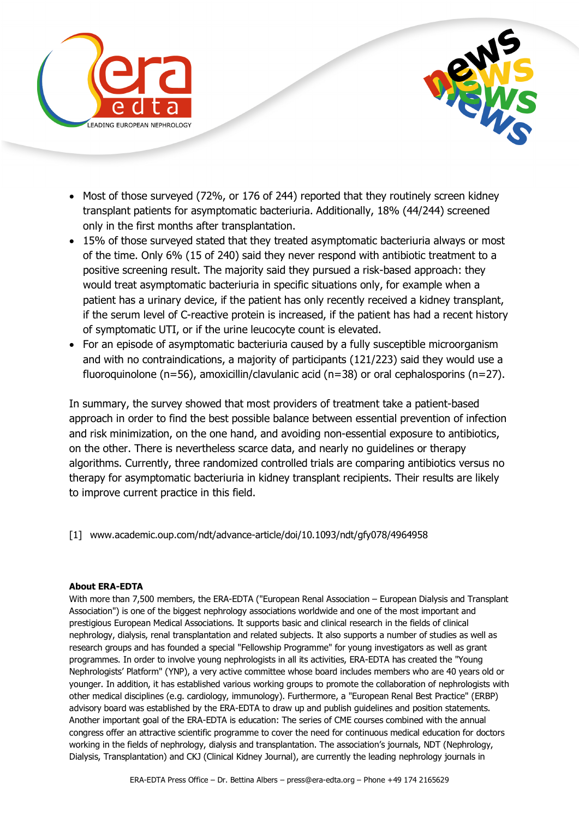



- Most of those surveyed (72%, or 176 of 244) reported that they routinely screen kidney transplant patients for asymptomatic bacteriuria. Additionally, 18% (44/244) screened only in the first months after transplantation.
- 15% of those surveyed stated that they treated asymptomatic bacteriuria always or most of the time. Only 6% (15 of 240) said they never respond with antibiotic treatment to a positive screening result. The majority said they pursued a risk-based approach: they would treat asymptomatic bacteriuria in specific situations only, for example when a patient has a urinary device, if the patient has only recently received a kidney transplant, if the serum level of C-reactive protein is increased, if the patient has had a recent history of symptomatic UTI, or if the urine leucocyte count is elevated.
- For an episode of asymptomatic bacteriuria caused by a fully susceptible microorganism and with no contraindications, a majority of participants (121/223) said they would use a fluoroquinolone (n=56), amoxicillin/clavulanic acid (n=38) or oral cephalosporins (n=27).

In summary, the survey showed that most providers of treatment take a patient-based approach in order to find the best possible balance between essential prevention of infection and risk minimization, on the one hand, and avoiding non-essential exposure to antibiotics, on the other. There is nevertheless scarce data, and nearly no guidelines or therapy algorithms. Currently, three randomized controlled trials are comparing antibiotics versus no therapy for asymptomatic bacteriuria in kidney transplant recipients. Their results are likely to improve current practice in this field.

[1] www.academic.oup.com/ndt/advance-article/doi/10.1093/ndt/gfy078/4964958

## **About ERA-EDTA**

With more than 7,500 members, the ERA-EDTA ("European Renal Association – European Dialysis and Transplant Association") is one of the biggest nephrology associations worldwide and one of the most important and prestigious European Medical Associations. It supports basic and clinical research in the fields of clinical nephrology, dialysis, renal transplantation and related subjects. It also supports a number of studies as well as research groups and has founded a special "Fellowship Programme" for young investigators as well as grant programmes. In order to involve young nephrologists in all its activities, ERA-EDTA has created the "Young Nephrologists' Platform" (YNP), a very active committee whose board includes members who are 40 years old or younger. In addition, it has established various working groups to promote the collaboration of nephrologists with other medical disciplines (e.g. cardiology, immunology). Furthermore, a "European Renal Best Practice" (ERBP) advisory board was established by the ERA-EDTA to draw up and publish guidelines and position statements. Another important goal of the ERA-EDTA is education: The series of CME courses combined with the annual congress offer an attractive scientific programme to cover the need for continuous medical education for doctors working in the fields of nephrology, dialysis and transplantation. The association's journals, NDT (Nephrology, Dialysis, Transplantation) and CKJ (Clinical Kidney Journal), are currently the leading nephrology journals in